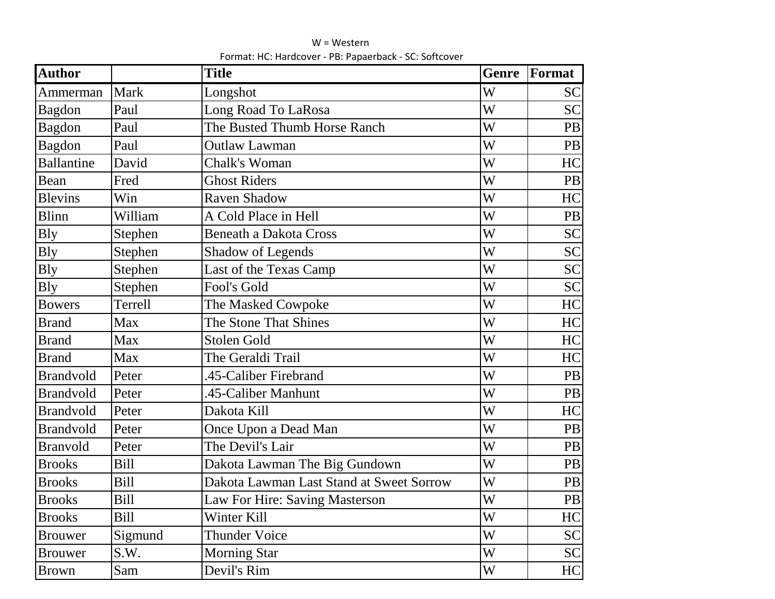| <b>Author</b>     |             | <b>Title</b>                             | <b>Genre</b> | Format    |
|-------------------|-------------|------------------------------------------|--------------|-----------|
| Ammerman          | <b>Mark</b> | Longshot                                 | W            | <b>SC</b> |
| <b>Bagdon</b>     | Paul        | Long Road To LaRosa                      | W            | <b>SC</b> |
| Bagdon            | Paul        | The Busted Thumb Horse Ranch             | W            | PB        |
| <b>Bagdon</b>     | Paul        | <b>Outlaw Lawman</b>                     | W            | PB        |
| <b>Ballantine</b> | David       | Chalk's Woman                            | W            | HC        |
| Bean              | Fred        | <b>Ghost Riders</b>                      | W            | <b>PB</b> |
| <b>Blevins</b>    | Win         | <b>Raven Shadow</b>                      | W            | HC        |
| <b>Blinn</b>      | William     | A Cold Place in Hell                     | W            | PB        |
| <b>B</b> ly       | Stephen     | <b>Beneath a Dakota Cross</b>            | W            | <b>SC</b> |
| <b>Bly</b>        | Stephen     | Shadow of Legends                        | W            | <b>SC</b> |
| <b>Bly</b>        | Stephen     | Last of the Texas Camp                   | W            | <b>SC</b> |
| <b>Bly</b>        | Stephen     | Fool's Gold                              | W            | <b>SC</b> |
| <b>Bowers</b>     | Terrell     | The Masked Cowpoke                       | W            | HC        |
| <b>Brand</b>      | Max         | The Stone That Shines                    | W            | HC        |
| <b>Brand</b>      | Max         | Stolen Gold                              | W            | HC        |
| <b>Brand</b>      | Max         | The Geraldi Trail                        | W            | HC        |
| <b>Brandvold</b>  | Peter       | 45-Caliber Firebrand                     | W            | <b>PB</b> |
| <b>Brandvold</b>  | Peter       | 45-Caliber Manhunt                       | W            | <b>PB</b> |
| <b>Brandvold</b>  | Peter       | Dakota Kill                              | W            | HC        |
| <b>Brandvold</b>  | Peter       | Once Upon a Dead Man                     | W            | PB        |
| <b>Branvold</b>   | Peter       | The Devil's Lair                         | W            | PB        |
| <b>Brooks</b>     | <b>Bill</b> | Dakota Lawman The Big Gundown            | W            | PB        |
| <b>Brooks</b>     | <b>Bill</b> | Dakota Lawman Last Stand at Sweet Sorrow | W            | PB        |
| <b>Brooks</b>     | <b>Bill</b> | Law For Hire: Saving Masterson           | W            | PB        |
| <b>Brooks</b>     | <b>Bill</b> | Winter Kill                              | W            | HC        |
| <b>Brouwer</b>    | Sigmund     | <b>Thunder Voice</b>                     | W            | <b>SC</b> |
| <b>Brouwer</b>    | S.W.        | <b>Morning Star</b>                      | W            | <b>SC</b> |
| <b>Brown</b>      | Sam         | Devil's Rim                              | W            | HC        |

W = Western Format: HC: Hardcover - PB: Papaerback - SC: Softcover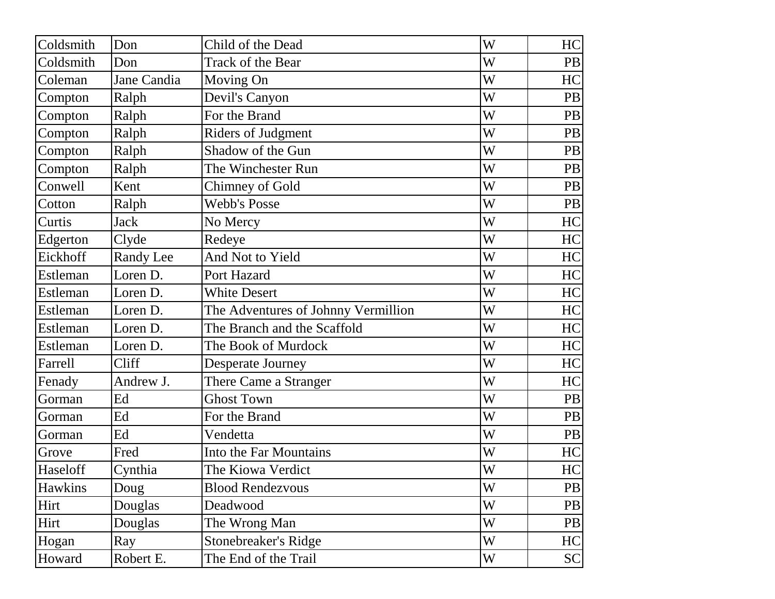| Coldsmith | Don         | Child of the Dead                   | W | HC        |
|-----------|-------------|-------------------------------------|---|-----------|
| Coldsmith | Don         | Track of the Bear                   | W | <b>PB</b> |
| Coleman   | Jane Candia | Moving On                           | W | HC        |
| Compton   | Ralph       | Devil's Canyon                      | W | <b>PB</b> |
| Compton   | Ralph       | For the Brand                       | W | <b>PB</b> |
| Compton   | Ralph       | Riders of Judgment                  | W | PB        |
| Compton   | Ralph       | Shadow of the Gun                   | W | PB        |
| Compton   | Ralph       | The Winchester Run                  | W | PB        |
| Conwell   | Kent        | Chimney of Gold                     | W | PB        |
| Cotton    | Ralph       | <b>Webb's Posse</b>                 | W | <b>PB</b> |
| Curtis    | <b>Jack</b> | No Mercy                            | W | HC        |
| Edgerton  | Clyde       | Redeye                              | W | HC        |
| Eickhoff  | Randy Lee   | And Not to Yield                    | W | HC        |
| Estleman  | Loren D.    | Port Hazard                         | W | HC        |
| Estleman  | Loren D.    | <b>White Desert</b>                 | W | HC        |
| Estleman  | Loren D.    | The Adventures of Johnny Vermillion | W | HC        |
| Estleman  | Loren D.    | The Branch and the Scaffold         | W | HC        |
| Estleman  | Loren D.    | The Book of Murdock                 | W | HC        |
| Farrell   | Cliff       | <b>Desperate Journey</b>            | W | HC        |
| Fenady    | Andrew J.   | There Came a Stranger               | W | HC        |
| Gorman    | Ed          | <b>Ghost Town</b>                   | W | PB        |
| Gorman    | Ed          | For the Brand                       | W | PB        |
| Gorman    | Ed          | Vendetta                            | W | <b>PB</b> |
| Grove     | Fred        | Into the Far Mountains              | W | HC        |
| Haseloff  | Cynthia     | The Kiowa Verdict                   | W | HC        |
| Hawkins   | Doug        | <b>Blood Rendezvous</b>             | W | PB        |
| Hirt      | Douglas     | Deadwood                            | W | PB        |
| Hirt      | Douglas     | The Wrong Man                       | W | PB        |
| Hogan     | Ray         | Stonebreaker's Ridge                | W | HC        |
| Howard    | Robert E.   | The End of the Trail                | W | <b>SC</b> |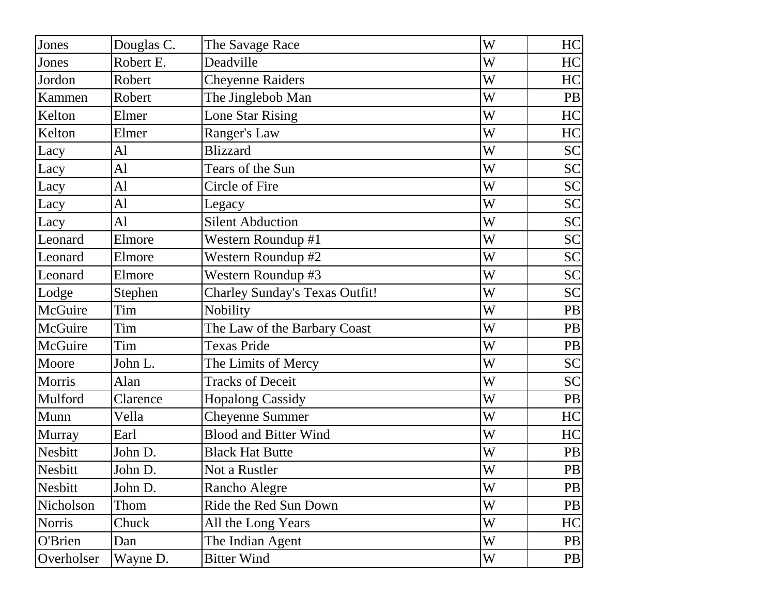| Jones          | Douglas C. | The Savage Race                       | W | HC        |
|----------------|------------|---------------------------------------|---|-----------|
| Jones          | Robert E.  | Deadville                             | W | HC        |
| Jordon         | Robert     | <b>Cheyenne Raiders</b>               | W | HC        |
| Kammen         | Robert     | The Jinglebob Man                     | W | <b>PB</b> |
| Kelton         | Elmer      | <b>Lone Star Rising</b>               | W | HC        |
| Kelton         | Elmer      | Ranger's Law                          | W | HC        |
| Lacy           | Al         | <b>Blizzard</b>                       | W | <b>SC</b> |
| Lacy           | Al         | Tears of the Sun                      | W | <b>SC</b> |
| Lacy           | Al         | Circle of Fire                        | W | <b>SC</b> |
| Lacy           | Al         | Legacy                                | W | <b>SC</b> |
| Lacy           | Al         | <b>Silent Abduction</b>               | W | <b>SC</b> |
| Leonard        | Elmore     | Western Roundup #1                    | W | <b>SC</b> |
| Leonard        | Elmore     | Western Roundup #2                    | W | <b>SC</b> |
| Leonard        | Elmore     | Western Roundup #3                    | W | <b>SC</b> |
| Lodge          | Stephen    | <b>Charley Sunday's Texas Outfit!</b> | W | <b>SC</b> |
| McGuire        | Tim        | Nobility                              | W | <b>PB</b> |
| McGuire        | Tim        | The Law of the Barbary Coast          | W | <b>PB</b> |
| McGuire        | Tim        | <b>Texas Pride</b>                    | W | <b>PB</b> |
| Moore          | John L.    | The Limits of Mercy                   | W | <b>SC</b> |
| Morris         | Alan       | <b>Tracks of Deceit</b>               | W | <b>SC</b> |
| Mulford        | Clarence   | <b>Hopalong Cassidy</b>               | W | <b>PB</b> |
| Munn           | Vella      | <b>Cheyenne Summer</b>                | W | HC        |
| <b>Murray</b>  | Earl       | <b>Blood and Bitter Wind</b>          | W | HC        |
| Nesbitt        | John D.    | <b>Black Hat Butte</b>                | W | <b>PB</b> |
| <b>Nesbitt</b> | John D     | Not a Rustler                         | W | PB        |
| <b>Nesbitt</b> | John D.    | Rancho Alegre                         | W | <b>PB</b> |
| Nicholson      | Thom       | Ride the Red Sun Down                 | W | <b>PB</b> |
| <b>Norris</b>  | Chuck      | All the Long Years                    | W | HC        |
| O'Brien        | Dan        | The Indian Agent                      | W | <b>PB</b> |
| Overholser     | Wayne D.   | <b>Bitter Wind</b>                    | W | <b>PB</b> |